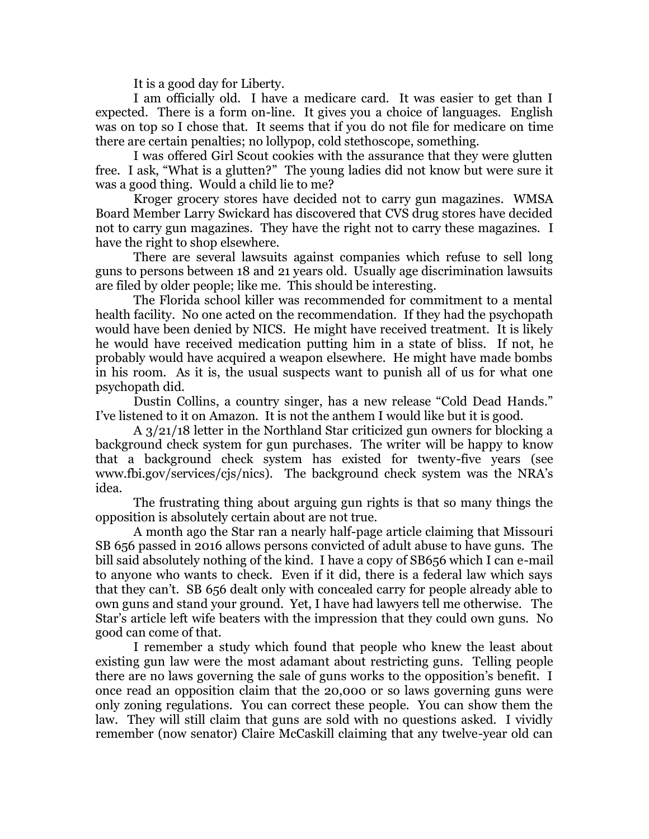It is a good day for Liberty.

I am officially old. I have a medicare card. It was easier to get than I expected. There is a form on-line. It gives you a choice of languages. English was on top so I chose that. It seems that if you do not file for medicare on time there are certain penalties; no lollypop, cold stethoscope, something.

I was offered Girl Scout cookies with the assurance that they were glutten free. I ask, "What is a glutten?" The young ladies did not know but were sure it was a good thing. Would a child lie to me?

Kroger grocery stores have decided not to carry gun magazines. WMSA Board Member Larry Swickard has discovered that CVS drug stores have decided not to carry gun magazines. They have the right not to carry these magazines. I have the right to shop elsewhere.

There are several lawsuits against companies which refuse to sell long guns to persons between 18 and 21 years old. Usually age discrimination lawsuits are filed by older people; like me. This should be interesting.

The Florida school killer was recommended for commitment to a mental health facility. No one acted on the recommendation. If they had the psychopath would have been denied by NICS. He might have received treatment. It is likely he would have received medication putting him in a state of bliss. If not, he probably would have acquired a weapon elsewhere. He might have made bombs in his room. As it is, the usual suspects want to punish all of us for what one psychopath did.

Dustin Collins, a country singer, has a new release "Cold Dead Hands." I've listened to it on Amazon. It is not the anthem I would like but it is good.

A 3/21/18 letter in the Northland Star criticized gun owners for blocking a background check system for gun purchases. The writer will be happy to know that a background check system has existed for twenty-five years (see [www.fbi.gov/services/cjs/nics](http://www.fbi.gov/services/cjs/nics)). The background check system was the NRA's idea.

The frustrating thing about arguing gun rights is that so many things the opposition is absolutely certain about are not true.

A month ago the Star ran a nearly half-page article claiming that Missouri SB 656 passed in 2016 allows persons convicted of adult abuse to have guns. The bill said absolutely nothing of the kind. I have a copy of SB656 which I can e-mail to anyone who wants to check. Even if it did, there is a federal law which says that they can't. SB 656 dealt only with concealed carry for people already able to own guns and stand your ground. Yet, I have had lawyers tell me otherwise. The Star's article left wife beaters with the impression that they could own guns. No good can come of that.

I remember a study which found that people who knew the least about existing gun law were the most adamant about restricting guns. Telling people there are no laws governing the sale of guns works to the opposition's benefit. I once read an opposition claim that the 20,000 or so laws governing guns were only zoning regulations. You can correct these people. You can show them the law. They will still claim that guns are sold with no questions asked. I vividly remember (now senator) Claire McCaskill claiming that any twelve-year old can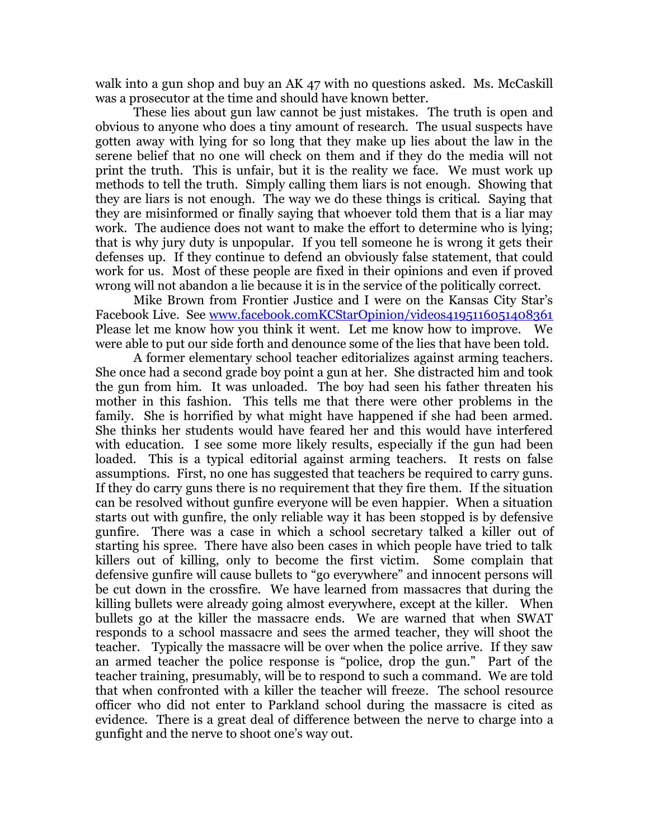walk into a gun shop and buy an AK 47 with no questions asked. Ms. McCaskill was a prosecutor at the time and should have known better.

These lies about gun law cannot be just mistakes. The truth is open and obvious to anyone who does a tiny amount of research. The usual suspects have gotten away with lying for so long that they make up lies about the law in the serene belief that no one will check on them and if they do the media will not print the truth. This is unfair, but it is the reality we face. We must work up methods to tell the truth. Simply calling them liars is not enough. Showing that they are liars is not enough. The way we do these things is critical. Saying that they are misinformed or finally saying that whoever told them that is a liar may work. The audience does not want to make the effort to determine who is lying; that is why jury duty is unpopular. If you tell someone he is wrong it gets their defenses up. If they continue to defend an obviously false statement, that could work for us. Most of these people are fixed in their opinions and even if proved wrong will not abandon a lie because it is in the service of the politically correct.

Mike Brown from Frontier Justice and I were on the Kansas City Star's Facebook Live. See [www.facebook.comKCStarOpinion/videos4195116051408361](http://www.facebook.comkcstaropinion/videos4195116051408361)  Please let me know how you think it went. Let me know how to improve. We were able to put our side forth and denounce some of the lies that have been told.

A former elementary school teacher editorializes against arming teachers. She once had a second grade boy point a gun at her. She distracted him and took the gun from him. It was unloaded. The boy had seen his father threaten his mother in this fashion. This tells me that there were other problems in the family. She is horrified by what might have happened if she had been armed. She thinks her students would have feared her and this would have interfered with education. I see some more likely results, especially if the gun had been loaded. This is a typical editorial against arming teachers. It rests on false assumptions. First, no one has suggested that teachers be required to carry guns. If they do carry guns there is no requirement that they fire them. If the situation can be resolved without gunfire everyone will be even happier. When a situation starts out with gunfire, the only reliable way it has been stopped is by defensive gunfire. There was a case in which a school secretary talked a killer out of starting his spree. There have also been cases in which people have tried to talk killers out of killing, only to become the first victim. Some complain that defensive gunfire will cause bullets to "go everywhere" and innocent persons will be cut down in the crossfire. We have learned from massacres that during the killing bullets were already going almost everywhere, except at the killer. When bullets go at the killer the massacre ends. We are warned that when SWAT responds to a school massacre and sees the armed teacher, they will shoot the teacher. Typically the massacre will be over when the police arrive. If they saw an armed teacher the police response is "police, drop the gun." Part of the teacher training, presumably, will be to respond to such a command. We are told that when confronted with a killer the teacher will freeze. The school resource officer who did not enter to Parkland school during the massacre is cited as evidence. There is a great deal of difference between the nerve to charge into a gunfight and the nerve to shoot one's way out.